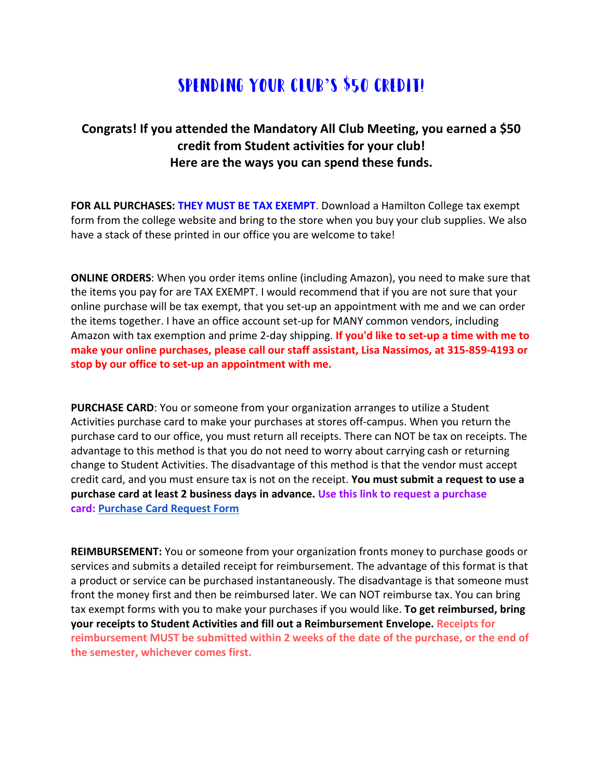## Spending your Club's \$50 Credit!

## **Congrats! If you attended the Mandatory All Club Meeting, you earned a \$50 credit from Student activities for your club! Here are the ways you can spend these funds.**

FOR ALL PURCHASES: THEY MUST BE TAX EXEMPT. Download a Hamilton College tax exempt form from the college website and bring to the store when you buy your club supplies. We also have a stack of these printed in our office you are welcome to take!

**ONLINE ORDERS**: When you order items online (including Amazon), you need to make sure that the items you pay for are TAX EXEMPT. I would recommend that if you are not sure that your online purchase will be tax exempt, that you set-up an appointment with me and we can order the items together. I have an office account set-up for MANY common vendors, including Amazon with tax exemption and prime 2-day shipping. **If you'd like to set-up a time with me to make your online purchases, please call our staff assistant, Lisa Nassimos, at 315-859-4193 or stop by our office to set-up an appointment with me.**

**PURCHASE CARD**: You or someone from your organization arranges to utilize a Student Activities purchase card to make your purchases at stores off-campus. When you return the purchase card to our office, you must return all receipts. There can NOT be tax on receipts. The advantage to this method is that you do not need to worry about carrying cash or returning change to Student Activities. The disadvantage of this method is that the vendor must accept credit card, and you must ensure tax is not on the receipt. **You must submit a request to use a purchase card at least 2 business days in advance. Use this link to request a purchase card: [Purchase Card Request Form](https://hamilton.qualtrics.com/SE/?SID=SV_2hhBrQTS4Jo1IFv&Q_JFE=0)**

**REIMBURSEMENT:** You or someone from your organization fronts money to purchase goods or services and submits a detailed receipt for reimbursement. The advantage of this format is that a product or service can be purchased instantaneously. The disadvantage is that someone must front the money first and then be reimbursed later. We can NOT reimburse tax. You can bring tax exempt forms with you to make your purchases if you would like. **To get reimbursed, bring your receipts to Student Activities and fill out a Reimbursement Envelope. Receipts for reimbursement MUST be submitted within 2 weeks of the date of the purchase, or the end of the semester, whichever comes first.**